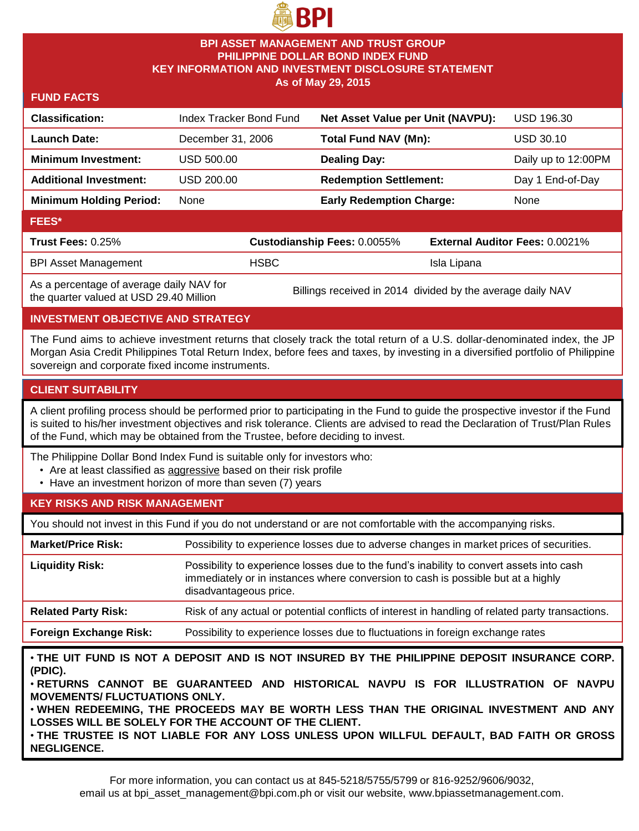

### **BPI ASSET MANAGEMENT AND TRUST GROUP PHILIPPINE DOLLAR BOND INDEX FUND KEY INFORMATION AND INVESTMENT DISCLOSURE STATEMENT As of May 29, 2015**

**FUND FACTS**

| <b>Classification:</b>                   | Index Tracker Bond Fund |                             | Net Asset Value per Unit (NAVPU): |             | <b>USD 196.30</b>                     |  |
|------------------------------------------|-------------------------|-----------------------------|-----------------------------------|-------------|---------------------------------------|--|
| <b>Launch Date:</b>                      | December 31, 2006       |                             | Total Fund NAV (Mn):              |             | USD 30.10                             |  |
| <b>Minimum Investment:</b>               | USD 500.00              |                             | <b>Dealing Day:</b>               |             | Daily up to 12:00PM                   |  |
| <b>Additional Investment:</b>            | USD 200.00              |                             | <b>Redemption Settlement:</b>     |             | Day 1 End-of-Day                      |  |
| <b>Minimum Holding Period:</b>           | None                    |                             | <b>Early Redemption Charge:</b>   |             | None                                  |  |
| <b>FEES*</b>                             |                         |                             |                                   |             |                                       |  |
| <b>Trust Fees: 0.25%</b>                 |                         | Custodianship Fees: 0.0055% |                                   |             | <b>External Auditor Fees: 0.0021%</b> |  |
| <b>BPI Asset Management</b>              |                         | <b>HSBC</b>                 |                                   | Isla Lipana |                                       |  |
| As a nercentage of average daily NAV for |                         |                             |                                   |             |                                       |  |

As a percentage of average daily NAV for

As a percentage of average daily NAV for Billings received in 2014 divided by the average daily NAV the quarter valued at USD 29.40 Million

## **INVESTMENT OBJECTIVE AND STRATEGY**

The Fund aims to achieve investment returns that closely track the total return of a U.S. dollar-denominated index, the JP Morgan Asia Credit Philippines Total Return Index, before fees and taxes, by investing in a diversified portfolio of Philippine sovereign and corporate fixed income instruments.

### **CLIENT SUITABILITY**

A client profiling process should be performed prior to participating in the Fund to guide the prospective investor if the Fund is suited to his/her investment objectives and risk tolerance. Clients are advised to read the Declaration of Trust/Plan Rules of the Fund, which may be obtained from the Trustee, before deciding to invest.

The Philippine Dollar Bond Index Fund is suitable only for investors who:

- Are at least classified as aggressive based on their risk profile
- Have an investment horizon of more than seven (7) years

# **KEY RISKS AND RISK MANAGEMENT**

You should not invest in this Fund if you do not understand or are not comfortable with the accompanying risks.

| <b>Market/Price Risk:</b>     | Possibility to experience losses due to adverse changes in market prices of securities.                                                                                                                |
|-------------------------------|--------------------------------------------------------------------------------------------------------------------------------------------------------------------------------------------------------|
| <b>Liquidity Risk:</b>        | Possibility to experience losses due to the fund's inability to convert assets into cash<br>immediately or in instances where conversion to cash is possible but at a highly<br>disadvantageous price. |
| <b>Related Party Risk:</b>    | Risk of any actual or potential conflicts of interest in handling of related party transactions.                                                                                                       |
| <b>Foreign Exchange Risk:</b> | Possibility to experience losses due to fluctuations in foreign exchange rates                                                                                                                         |

• **THE UIT FUND IS NOT A DEPOSIT AND IS NOT INSURED BY THE PHILIPPINE DEPOSIT INSURANCE CORP. (PDIC).**

• **RETURNS CANNOT BE GUARANTEED AND HISTORICAL NAVPU IS FOR ILLUSTRATION OF NAVPU MOVEMENTS/ FLUCTUATIONS ONLY.**

• **WHEN REDEEMING, THE PROCEEDS MAY BE WORTH LESS THAN THE ORIGINAL INVESTMENT AND ANY LOSSES WILL BE SOLELY FOR THE ACCOUNT OF THE CLIENT.**

• **THE TRUSTEE IS NOT LIABLE FOR ANY LOSS UNLESS UPON WILLFUL DEFAULT, BAD FAITH OR GROSS NEGLIGENCE.**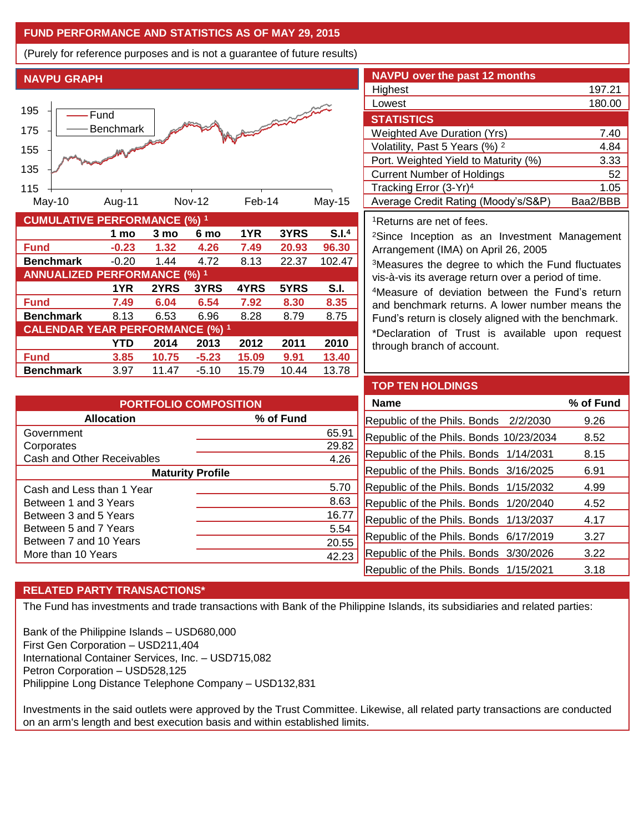## **FUND PERFORMANCE AND STATISTICS AS OF MAY 29, 2015**

(Purely for reference purposes and is not a guarantee of future results)

**NAVPU GRAPH**



| <b>CUMULATIVE PERFORMANCE (%) 1</b>    |         |       |         |       |       |                   |
|----------------------------------------|---------|-------|---------|-------|-------|-------------------|
|                                        | 1 mo    | 3 mo  | 6 mo    | 1YR   | 3YRS  | S.I. <sup>4</sup> |
| <b>Fund</b>                            | $-0.23$ | 1.32  | 4.26    | 7.49  | 20.93 | 96.30             |
| <b>Benchmark</b>                       | $-0.20$ | 1.44  | 4.72    | 8.13  | 22.37 | 102.47            |
| <b>ANNUALIZED PERFORMANCE (%) 1</b>    |         |       |         |       |       |                   |
|                                        | 1YR     | 2YRS  | 3YRS    | 4YRS  | 5YRS  | S.I.              |
| <b>Fund</b>                            | 7.49    | 6.04  | 6.54    | 7.92  | 8.30  | 8.35              |
| <b>Benchmark</b>                       | 8.13    | 6.53  | 6.96    | 8.28  | 8.79  | 8.75              |
| <b>CALENDAR YEAR PERFORMANCE (%) 1</b> |         |       |         |       |       |                   |
|                                        | YTD     | 2014  | 2013    | 2012  | 2011  | 2010              |
| <b>Fund</b>                            | 3.85    | 10.75 | $-5.23$ | 15.09 | 9.91  | 13.40             |
| <b>Benchmark</b>                       | 3.97    | 11.47 | $-5.10$ | 15.79 | 10.44 | 13.78             |

| <b>NAVPU over the past 12 months</b>      |          |
|-------------------------------------------|----------|
| Highest                                   | 197.21   |
| Lowest                                    | 180.00   |
| <b>STATISTICS</b>                         |          |
| <b>Weighted Ave Duration (Yrs)</b>        | 7.40     |
| Volatility, Past 5 Years (%) <sup>2</sup> | 4.84     |
| Port. Weighted Yield to Maturity (%)      | 3.33     |
| <b>Current Number of Holdings</b>         | 52       |
| Tracking Error (3-Yr) <sup>4</sup>        | 1.05     |
| Average Credit Rating (Moody's/S&P)       | Baa2/BBB |

### <sup>1</sup>Returns are net of fees.

<sup>2</sup>Since Inception as an Investment Management Arrangement (IMA) on April 26, 2005

<sup>3</sup>Measures the degree to which the Fund fluctuates vis-à-vis its average return over a period of time.

<sup>4</sup>Measure of deviation between the Fund's return and benchmark returns. A lower number means the Fund's return is closely aligned with the benchmark.

\*Declaration of Trust is available upon request through branch of account.

| <b>Allocation</b><br>% of Fund |       |  |  |  |  |
|--------------------------------|-------|--|--|--|--|
| Government                     | 65.91 |  |  |  |  |
| Corporates                     | 29.82 |  |  |  |  |
| Cash and Other Receivables     | 4.26  |  |  |  |  |
| <b>Maturity Profile</b>        |       |  |  |  |  |
| Cash and Less than 1 Year      | 5.70  |  |  |  |  |
| Between 1 and 3 Years          | 8.63  |  |  |  |  |
| Between 3 and 5 Years          | 16.77 |  |  |  |  |
| Between 5 and 7 Years          | 5.54  |  |  |  |  |
| Between 7 and 10 Years         | 20.55 |  |  |  |  |
| More than 10 Years             | 42.23 |  |  |  |  |

#### **TOP TEN HOLDINGS**

| <b>Name</b>                             | % of Fund |
|-----------------------------------------|-----------|
| Republic of the Phils. Bonds 2/2/2030   | 9.26      |
| Republic of the Phils. Bonds 10/23/2034 | 8.52      |
| Republic of the Phils. Bonds 1/14/2031  | 8.15      |
| Republic of the Phils. Bonds 3/16/2025  | 6.91      |
| Republic of the Phils. Bonds 1/15/2032  | 4.99      |
| Republic of the Phils. Bonds 1/20/2040  | 4.52      |
| Republic of the Phils. Bonds 1/13/2037  | 4.17      |
| Republic of the Phils. Bonds 6/17/2019  | 3.27      |
| Republic of the Phils. Bonds 3/30/2026  | 3.22      |
| Republic of the Phils. Bonds 1/15/2021  | 3.18      |

### **RELATED PARTY TRANSACTIONS\***

The Fund has investments and trade transactions with Bank of the Philippine Islands, its subsidiaries and related parties:

Bank of the Philippine Islands – USD680,000 First Gen Corporation – USD211,404 International Container Services, Inc. – USD715,082 Petron Corporation – USD528,125 Philippine Long Distance Telephone Company – USD132,831

Investments in the said outlets were approved by the Trust Committee. Likewise, all related party transactions are conducted on an arm's length and best execution basis and within established limits.